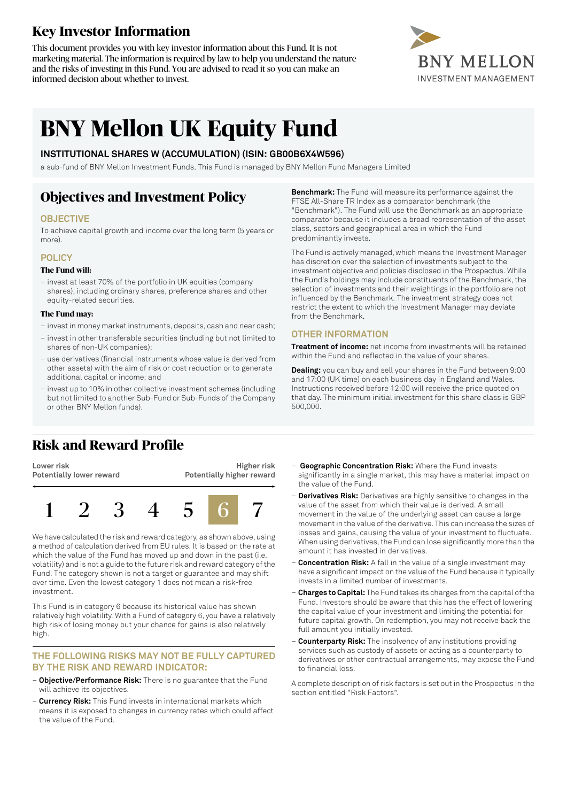# **Key Investor Information**

This document provides you with key investor information about this Fund. It is not marketing material. The information is required by law to help you understand the nature and the risks of investing in this Fund. You are advised to read it so you can make an informed decision about whether to invest.



# **BNY Mellon UK Equity Fund**

### **INSTITUTIONAL SHARES W (ACCUMULATION) (ISIN: GB00B6X4W596)**

a sub-fund of BNY Mellon Investment Funds. This Fund is managed by BNY Mellon Fund Managers Limited

### **Objectives and Investment Policy**

### **OBJECTIVE**

To achieve capital growth and income over the long term (5 years or more).

### **POLICY**

#### **The Fund will:**

– invest at least 70% of the portfolio in UK equities (company shares), including ordinary shares, preference shares and other equity-related securities.

#### **The Fund may:**

- investin money marketinstruments, deposits, cash and near cash;
- invest in other transferable securities (including but not limited to shares of non-UK companies);
- use derivatives (financial instruments whose value is derived from other assets) with the aim of risk or cost reduction or to generate additional capital or income; and
- invest up to 10% in other collective investment schemes (including but not limited to another Sub-Fund or Sub-Funds of the Company or other BNY Mellon funds).

**Benchmark:** The Fund will measure its performance against the FTSE All-Share TR Index as a comparator benchmark (the "Benchmark"). The Fund will use the Benchmark as an appropriate comparator because it includes a broad representation of the asset class, sectors and geographical area in which the Fund predominantly invests.

The Fund is actively managed, which means the Investment Manager has discretion over the selection of investments subject to the investment objective and policies disclosed in the Prospectus. While the Fund's holdings may include constituents of the Benchmark, the selection of investments and their weightings in the portfolio are not influenced by the Benchmark. The investment strategy does not restrict the extent to which the Investment Manager may deviate from the Benchmark.

### **OTHER INFORMATION**

**Treatment of income:** net income from investments will be retained within the Fund and reflected in the value of your shares.

**Dealing:** you can buy and sell your shares in the Fund between 9:00 and 17:00 (UK time) on each business day in England and Wales. Instructions received before 12:00 will receive the price quoted on that day. The minimum initial investment for this share class is GBP 500,000.

### **Risk and Reward Profile**

**Lower risk Potentially lower reward**

**Higher risk Potentially higher reward**



We have calculated the risk and reward category, as shown above, using a method of calculation derived from EU rules. It is based on the rate at which the value of the Fund has moved up and down in the past (i.e. volatility) and is not a guide to the future risk and reward category of the Fund. The category shown is not a target or guarantee and may shift over time. Even the lowest category 1 does not mean a risk-free investment.

This Fund is in category 6 because its historical value has shown relatively high volatility. With a Fund of category 6, you have a relatively high risk of losing money but your chance for gains is also relatively high.

### **THE FOLLOWING RISKS MAY NOT BE FULLY CAPTURED BY THE RISK AND REWARD INDICATOR:**

- **Objective/Performance Risk:** There is no guarantee that the Fund will achieve its objectives.
- **Currency Risk:** This Fund invests in international markets which means it is exposed to changes in currency rates which could affect the value of the Fund.
- **Geographic Concentration Risk:** Where the Fund invests significantly in a single market, this may have a material impact on the value of the Fund.
- **Derivatives Risk:** Derivatives are highly sensitive to changes in the value of the asset from which their value is derived. A small movement in the value of the underlying asset can cause a large movement in the value of the derivative. This can increase the sizes of losses and gains, causing the value of your investment to fluctuate. When using derivatives, the Fund can lose significantly more than the amount it has invested in derivatives.
- **Concentration Risk:** A fall in the value of a single investment may have a significant impact on the value of the Fund because it typically invests in a limited number of investments.
- **Charges to Capital:** The Fund takes its charges from the capital ofthe Fund. Investors should be aware that this has the effect of lowering the capital value of your investment and limiting the potential for future capital growth. On redemption, you may not receive back the full amount you initially invested.
- **Counterparty Risk:** The insolvency of any institutions providing services such as custody of assets or acting as a counterparty to derivatives or other contractual arrangements, may expose the Fund to financial loss.

A complete description of risk factors is set out in the Prospectus in the section entitled "Risk Factors".